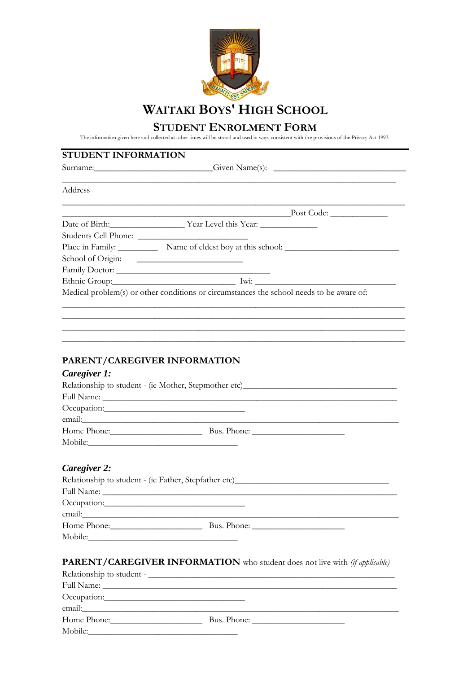

## **STUDENT ENROLMENT FORM**

The information given here and collected at other times will be stored and used in ways consistent with the provisions of the Privacy Act 1993.

# **STUDENT INFORMATION**

|              | Surname: Given Name(s): Containers                                                |  |
|--------------|-----------------------------------------------------------------------------------|--|
| Address      |                                                                                   |  |
|              | <u> 1989 - Johann Stoff, amerikansk politiker (* 1908)</u>                        |  |
|              | Date of Birth: <u>Vear Level this Year:</u>                                       |  |
|              |                                                                                   |  |
|              | Place in Family: Name of eldest boy at this school: _____________________________ |  |
|              | School of Origin:                                                                 |  |
|              |                                                                                   |  |
|              | Ethnic Group: Iwi: Iwi:                                                           |  |
|              | ,我们也不能在这里的时候,我们也不能在这里的时候,我们也不能在这里的时候,我们也不能会在这里的时候,我们也不能会在这里的时候,我们也不能会在这里的时候,我们也不能 |  |
|              | PARENT/CAREGIVER INFORMATION                                                      |  |
| Caregiver 1: |                                                                                   |  |
|              | Relationship to student - (ie Mother, Stepmother etc)___________________________  |  |
|              |                                                                                   |  |
|              |                                                                                   |  |
|              |                                                                                   |  |
|              | Home Phone: Bus. Phone:                                                           |  |

# *Caregiver 2:*

Mobile:

| Relationship to student - (ie Father, Stepfather etc)____________________________ |             |  |
|-----------------------------------------------------------------------------------|-------------|--|
|                                                                                   |             |  |
|                                                                                   |             |  |
| email:                                                                            |             |  |
| Home Phone:                                                                       | Bus. Phone: |  |
| Mobile:                                                                           |             |  |

# **PARENT/CAREGIVER INFORMATION** who student does not live with *(if applicable)*

| email: the contract of the contract of the contract of the contract of the contract of the contract of the contract of the contract of the contract of the contract of the contract of the contract of the contract of the con |  |
|--------------------------------------------------------------------------------------------------------------------------------------------------------------------------------------------------------------------------------|--|
| Home Phone:                                                                                                                                                                                                                    |  |
| Mobile:                                                                                                                                                                                                                        |  |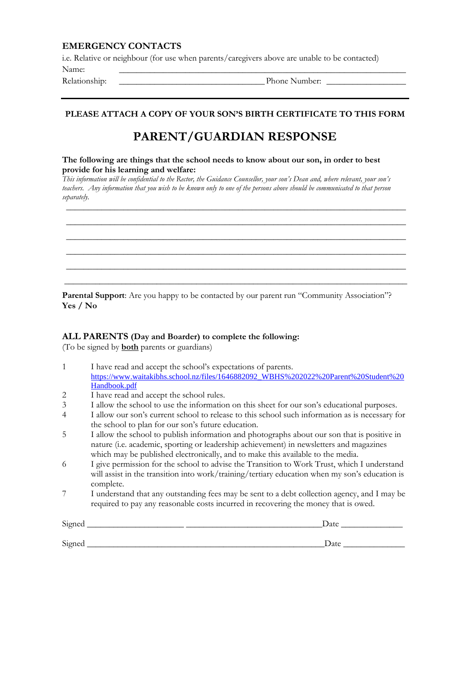#### **EMERGENCY CONTACTS**

i.e. Relative or neighbour (for use when parents/caregivers above are unable to be contacted)

Name: \_\_\_\_\_\_\_\_\_\_\_\_\_\_\_\_\_\_\_\_\_\_\_\_\_\_\_\_\_\_\_\_\_\_\_\_\_\_\_\_\_\_\_\_\_\_\_\_\_\_\_\_\_\_\_\_\_\_\_\_\_\_\_\_\_ Relationship:  $\Box$  Phone Number:

### **PLEASE ATTACH A COPY OF YOUR SON'S BIRTH CERTIFICATE TO THIS FORM**

# **PARENT/GUARDIAN RESPONSE**

#### **The following are things that the school needs to know about our son, in order to best provide for his learning and welfare:**

*This information will be confidential to the Rector, the Guidance Counsellor, your son's Dean and, where relevant, your son's teachers. Any information that you wish to be known only to one of the persons above should be communicated to that person separately.*

\_\_\_\_\_\_\_\_\_\_\_\_\_\_\_\_\_\_\_\_\_\_\_\_\_\_\_\_\_\_\_\_\_\_\_\_\_\_\_\_\_\_\_\_\_\_\_\_\_\_\_\_\_\_\_\_\_\_\_\_\_\_\_\_\_\_\_\_\_\_\_\_\_\_\_\_\_ \_\_\_\_\_\_\_\_\_\_\_\_\_\_\_\_\_\_\_\_\_\_\_\_\_\_\_\_\_\_\_\_\_\_\_\_\_\_\_\_\_\_\_\_\_\_\_\_\_\_\_\_\_\_\_\_\_\_\_\_\_\_\_\_\_\_\_\_\_\_\_\_\_\_\_\_\_ \_\_\_\_\_\_\_\_\_\_\_\_\_\_\_\_\_\_\_\_\_\_\_\_\_\_\_\_\_\_\_\_\_\_\_\_\_\_\_\_\_\_\_\_\_\_\_\_\_\_\_\_\_\_\_\_\_\_\_\_\_\_\_\_\_\_\_\_\_\_\_\_\_\_\_\_\_ \_\_\_\_\_\_\_\_\_\_\_\_\_\_\_\_\_\_\_\_\_\_\_\_\_\_\_\_\_\_\_\_\_\_\_\_\_\_\_\_\_\_\_\_\_\_\_\_\_\_\_\_\_\_\_\_\_\_\_\_\_\_\_\_\_\_\_\_\_\_\_\_\_\_\_\_\_ \_\_\_\_\_\_\_\_\_\_\_\_\_\_\_\_\_\_\_\_\_\_\_\_\_\_\_\_\_\_\_\_\_\_\_\_\_\_\_\_\_\_\_\_\_\_\_\_\_\_\_\_\_\_\_\_\_\_\_\_\_\_\_\_\_\_\_\_\_\_\_\_\_\_\_\_\_ \_\_\_\_\_\_\_\_\_\_\_\_\_\_\_\_\_\_\_\_\_\_\_\_\_\_\_\_\_\_\_\_\_\_\_\_\_\_\_\_\_\_\_\_\_\_\_\_\_\_\_\_\_\_\_\_\_\_\_\_\_\_\_\_\_\_\_\_\_\_\_\_\_\_\_\_\_\_

**Parental Support:** Are you happy to be contacted by our parent run "Community Association"? **Yes / No**

#### **ALL PARENTS (Day and Boarder) to complete the following:**

(To be signed by **both** parents or guardians)

- 1 I have read and accept the school's expectations of parents. [https://www.waitakibhs.school.nz/files/1646882092\\_WBHS%202022%20Parent%20Student%20](https://www.waitakibhs.school.nz/files/1646882092_WBHS%202022%20Parent%20Student%20Handbook.pdf) [Handbook.pdf](https://www.waitakibhs.school.nz/files/1646882092_WBHS%202022%20Parent%20Student%20Handbook.pdf) 2 I have read and accept the school rules.
- 3 I allow the school to use the information on this sheet for our son's educational purposes.
- 4 I allow our son's current school to release to this school such information as is necessary for the school to plan for our son's future education.
- 5 I allow the school to publish information and photographs about our son that is positive in nature (i.e. academic, sporting or leadership achievement) in newsletters and magazines which may be published electronically, and to make this available to the media.
- 6 I give permission for the school to advise the Transition to Work Trust, which I understand will assist in the transition into work/training/tertiary education when my son's education is complete.
- 7 I understand that any outstanding fees may be sent to a debt collection agency, and I may be required to pay any reasonable costs incurred in recovering the money that is owed.

| Signed | Date |
|--------|------|
|        |      |
| Signed | Date |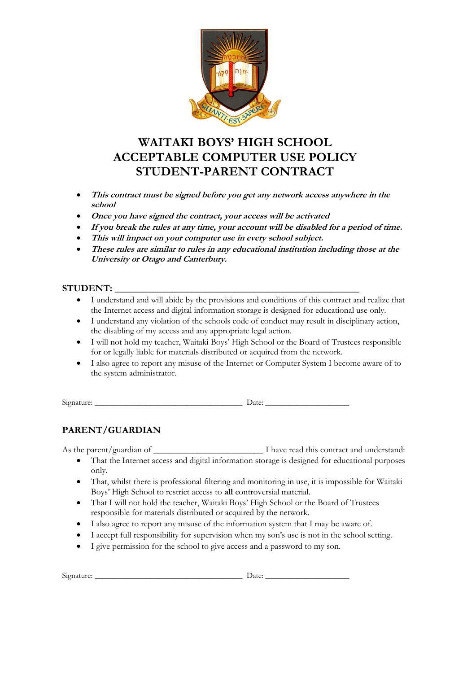

# **WAITAKI BOYS' HIGH SCHOOL ACCEPTABLE COMPUTER USE POLICY STUDENT-PARENT CONTRACT**

- **This contract must be signed before you get any network access anywhere in the school**
- **Once you have signed the contract, your access will be activated**
- **If you break the rules at any time, your account will be disabled for a period of time.**
- **This will impact on your computer use in every school subject.**
- **These rules are similar to rules in any educational institution including those at the University or Otago and Canterbury.**

## **STUDENT: \_\_\_\_\_\_\_\_\_\_\_\_\_\_\_\_\_\_\_\_\_\_\_\_\_\_\_\_\_\_\_\_\_\_\_\_\_\_\_\_\_\_\_\_\_\_\_\_\_\_\_**

- I understand and will abide by the provisions and conditions of this contract and realize that the Internet access and digital information storage is designed for educational use only.
- I understand any violation of the schools code of conduct may result in disciplinary action, the disabling of my access and any appropriate legal action.
- I will not hold my teacher, Waitaki Boys' High School or the Board of Trustees responsible for or legally liable for materials distributed or acquired from the network.
- I also agree to report any misuse of the Internet or Computer System I become aware of to the system administrator.

Signature: \_\_\_\_\_\_\_\_\_\_\_\_\_\_\_\_\_\_\_\_\_\_\_\_\_\_\_\_\_\_\_\_\_\_\_\_\_ Date: \_\_\_\_\_\_\_\_\_\_\_\_\_\_\_\_\_\_\_\_\_

# **PARENT/GUARDIAN**

As the parent/guardian of \_\_\_\_\_\_\_\_\_\_\_\_\_\_\_\_\_\_\_\_\_\_\_\_\_ I have read this contract and understand:

- That the Internet access and digital information storage is designed for educational purposes only.
- That, whilst there is professional filtering and monitoring in use, it is impossible for Waitaki Boys' High School to restrict access to **all** controversial material.
- That I will not hold the teacher, Waitaki Boys' High School or the Board of Trustees responsible for materials distributed or acquired by the network.
- I also agree to report any misuse of the information system that I may be aware of.
- I accept full responsibility for supervision when my son's use is not in the school setting.
- I give permission for the school to give access and a password to my son.

| $\sim$ $\cdot$<br>5121<br>74 L L L T |       |
|--------------------------------------|-------|
|                                      | Dace. |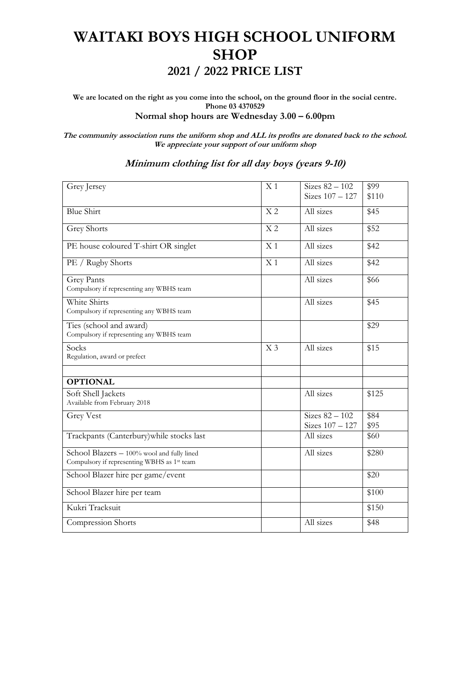# **WAITAKI BOYS HIGH SCHOOL UNIFORM SHOP 2021 / 2022 PRICE LIST**

**We are located on the right as you come into the school, on the ground floor in the social centre. Phone 03 4370529 Normal shop hours are Wednesday 3.00 – 6.00pm**

**The community association runs the uniform shop and ALL its profits are donated back to the school. We appreciate your support of our uniform shop**

| Grey Jersey                                                                               | X <sub>1</sub> | Sizes $82 - 102$                      | \$99             |
|-------------------------------------------------------------------------------------------|----------------|---------------------------------------|------------------|
|                                                                                           |                | Sizes $107 - 127$                     | \$110            |
| <b>Blue Shirt</b>                                                                         | X <sub>2</sub> | All sizes                             | \$45             |
| <b>Grey Shorts</b>                                                                        | X <sub>2</sub> | All sizes                             | \$52             |
| PE house coloured T-shirt OR singlet                                                      | X <sub>1</sub> | All sizes                             | \$42             |
| PE / Rugby Shorts                                                                         | X <sub>1</sub> | All sizes                             | \$42             |
| <b>Grey Pants</b><br>Compulsory if representing any WBHS team                             |                | All sizes                             | \$66             |
| White Shirts<br>Compulsory if representing any WBHS team                                  |                | All sizes                             | \$45             |
| Ties (school and award)<br>Compulsory if representing any WBHS team                       |                |                                       | $\overline{$}29$ |
| Socks<br>Regulation, award or prefect                                                     | X <sub>3</sub> | All sizes                             | \$15             |
| <b>OPTIONAL</b>                                                                           |                |                                       |                  |
| Soft Shell Jackets<br>Available from February 2018                                        |                | All sizes                             | \$125            |
| <b>Grey Vest</b>                                                                          |                | Sizes $82 - 102$<br>Sizes $107 - 127$ | \$84<br>\$95     |
| Trackpants (Canterbury) while stocks last                                                 |                | All sizes                             | \$60             |
| School Blazers - 100% wool and fully lined<br>Compulsory if representing WBHS as 1st team |                | All sizes                             | \$280            |
| School Blazer hire per game/event                                                         |                |                                       | \$20             |
| School Blazer hire per team                                                               |                |                                       | \$100            |
| Kukri Tracksuit                                                                           |                |                                       | \$150            |
| Compression Shorts                                                                        |                | All sizes                             | \$48             |

#### **Minimum clothing list for all day boys (years 9-10)**